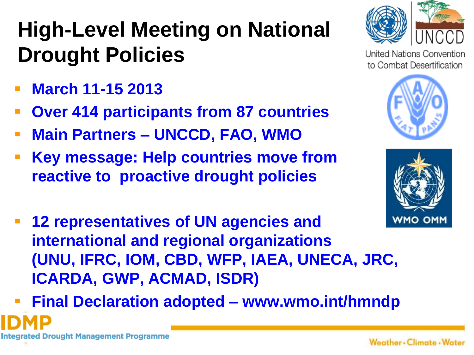## **High-Level Meeting on National Drought Policies**

- **March 11-15 2013**
- **Over 414 participants from 87 countries**
- **Main Partners – UNCCD, FAO, WMO**
- **Key message: Help countries move from reactive to proactive drought policies**



**United Nations Convention** to Combat Desertification





- **12 representatives of UN agencies and international and regional organizations (UNU, IFRC, IOM, CBD, WFP, IAEA, UNECA, JRC, ICARDA, GWP, ACMAD, ISDR)**
- **Final Declaration adopted – www.wmo.int/hmndp**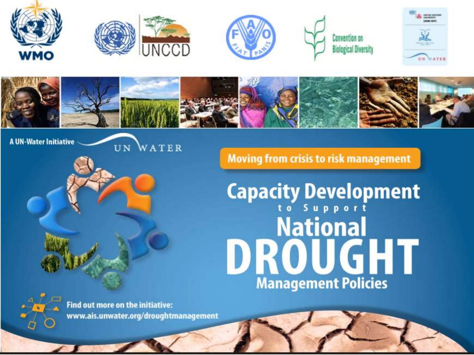











**A UN-Water Initiative** 

UN WATER

**Moving from crisis to risk management** 

**Capacity Development**<br> **Mational** DROUGHT **Management Policies** 

**Find out more on the initiative:** www.ais.unwater.org/droughtmanagement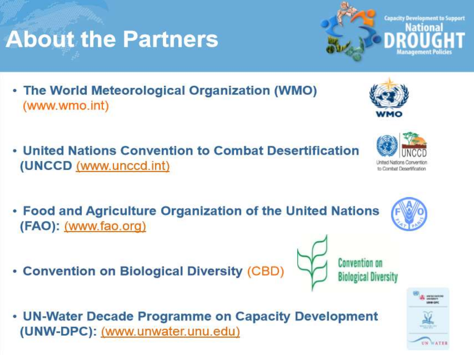- The World Meteorological Organization (WMO) (www.wmo.int)
- United Nations Convention to Combat Desertification (UNCCD (www.unccd.int)
- . Food and Agriculture Organization of the United Nations (FAO): (www.fao.org)
- Convention on Biological Diversity (CBD)
- UN-Water Decade Programme on Capacity Development (UNW-DPC): (www.unwater.unu.edu)



to Combat Desertification









**Convention on** 

**Biological Diversity**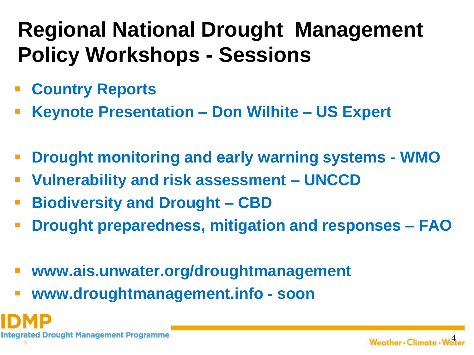## **Regional National Drought Management Policy Workshops - Sessions**

- **Country Reports**
- **Keynote Presentation – Don Wilhite – US Expert**
- **Drought monitoring and early warning systems - WMO**
- **Vulnerability and risk assessment – UNCCD**
- **Biodiversity and Drought – CBD**
- **Drought preparedness, mitigation and responses – FAO**
- **www.ais.unwater.org/droughtmanagement**
- **www.droughtmanagement.info - soon**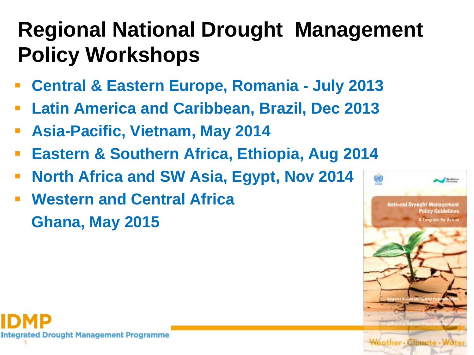## **Regional National Drought Management Policy Workshops**

- **Central & Eastern Europe, Romania - July 2013**
- **Latin America and Caribbean, Brazil, Dec 2013**
- **Asia-Pacific, Vietnam, May 2014**
- **Eastern & Southern Africa, Ethiopia, Aug 2014**
- **North Africa and SW Asia, Egypt, Nov 2014**
- **Western and Central Africa Ghana, May 2015**



**Integrated Drought Management Programme**